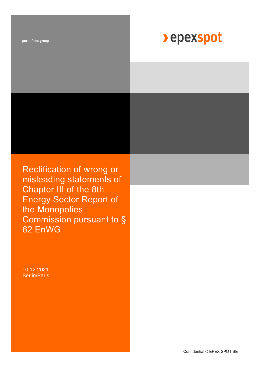part of eex group

# **>** epexspot

Rectification of wrong or misleading statements of Chapter III of the 8th Energy Sector Report of the Monopolies Commission pursuant to § 62 EnWG

10.12.2021 Berlin/Paris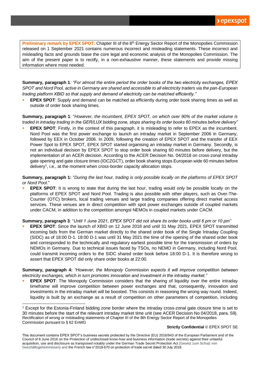**Preliminary remark by EPEX SPOT:** Chapter III of the 8<sup>th</sup> Energy Sector Report of the Monopolies Commission released on 1 September 2021 contains numerous incorrect and misleading statements. These incorrect and misleading facts and grounds biase the core legal and economic analysis of the Monopolies Commission. The aim of the present paper is to rectify, in a non-exhaustive manner, these statements and provide missing information where most needed.

**Summary, paragraph 1***: "For almost the entire period the order books of the two electricity exchanges, EPEX SPOT and Nord Pool, active in Germany are shared and accessible to all electricity traders via the pan-European trading platform XBID so that supply and demand of electricity can be matched efficiently."*

**EPEX SPOT:** Supply and demand can be matched as efficiently during order book sharing times as well as outside of order book sharing times.

**Summary, paragraph 1**: "*However, the incumbent, EPEX SPOT, on which over 90% of the market volume is traded in intraday trading in the GER/LUX bidding zone, stops sharing its order books 60 minutes before delivery"*

**EPEX SPOT:** Firstly, in the context of this paragraph, it is misleading to refer to EPEX as the incumbent. Nord Pool was the first power exchange to launch an intraday market in September 2006 in Germany, followed by EEX in October 2006. In 2009, following the creation of EPEX SPOT and the transfer of EEX Power Spot to EPEX SPOT, EPEX SPOT started organising an intraday market in Germany. Secondly, is not an individual decision by EPEX SPOT to stop order book sharing 60 minutes before delivery, but the implementation of an ACER decision. According to the ACER Decision No. 04/2018 on cross-zonal intraday gate opening and gate closure times (IDCZGCT), order book sharing stops European wide 60 minutes before delivery<sup>1</sup>, i.e., at the moment when cross-border capacity allocation stops.

**Summary, paragraph 1:** "*During the last hour, trading is only possible locally on the platforms of EPEX SPOT or Nord Pool*."

**EPEX SPOT**: It is wrong to state that during the last hour, trading would only be possible locally on the platforms of EPEX SPOT and Nord Pool. Trading is also possible with other players, such as Over-The-Counter (OTC) brokers, local trading venues and large trading companies offering direct market access services. These venues are in direct competition with spot power exchanges outside of coupled markets under CACM, in addition to the competition amongst NEMOs in coupled markets under CACM.

**Summary, paragraph 3**: "*Until 1 June 2021, EPEX SPOT did not share its order books until 6 pm or 10 pm"*

**EPEX SPOT:** Since the launch of XBID on 12 June 2018 and until 31 May 2021, EPEX SPOT transmitted incoming bids from the German market directly to the shared order book of the Single Intraday Coupling (SIDC) as of 18:00 D-1. 18:00 D-1 was until 31 May 2021 the time of the opening of the shared order book and corresponded to the technically and regulatory earliest possible time for the transmission of orders by NEMOs in Germany. Due to technical issues faced by TSOs, no NEMO in Germany, including Nord Pool, could transmit incoming orders to the SIDC shared order book before 18:00 D-1. It is therefore wrong to assert that EPEX SPOT did only share order books at 22:00.

**Summary, paragraph 4:** *"However, the Monopoly Commission expects it will improve competition between electricity exchanges, which in turn promotes innovation and investment in the intraday market."*

**EPEX SPOT:** The Monopoly Commission considers that the sharing of liquidity over the entire intraday timeframe will improve competition between power exchanges and that, consequently, innovation and investments in the intraday market will be boosted. This consists in reasoning the wrong way round. Indeed, liquidity is built by an exchange as a result of competition on other parameters of competition, including

## **Strictly Confidential** © EPEX SPOT SE

Rectification of wrong or misleading statements of Chapter III of the 8th Energy Sector Report of the Monopolies Commission pursuant to § 62 EnWG <sup>1</sup> Except for the Estonia-Finland bidding zone border where the intraday cross-zonal gate closure time is set to 30 minutes before the start of the relevant intraday market time unit (see ACER Decision No 04/2018, para. 59).

This document contains EPEX SPOT's business secrets protected by the Directive (EU) 2016/943 of the European Parliament and of the Council of 8 June 2016 on the Protection of undisclosed know-how and business information (trade secrets) against their unlawful acquisition, use and disclosure as transposed notably under the German Trade Secret Protection Act (Gesetz zum Schutz von Geschäftsgeheimnissen) and the French law n°2018-670 on protection of trade secret dated 30 July 2018.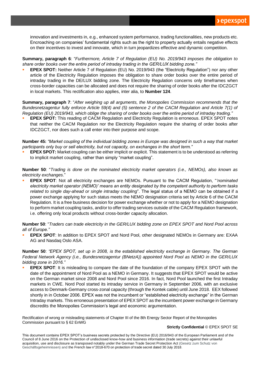innovation and investments in, e.g., enhanced system performance, trading functionalities, new products etc. Encroaching on companies' fundamental rights such as the right to property actually entails negative effects on their incentives to invest and innovate, which in turn jeopardizes effective and dynamic competition.

**Summary, paragraph 6**: "*Furthermore, Article 7 of Regulation (EU) No. 2019/943 imposes the obligation to share order books over the entire period of intraday trading in the GER/LUX bidding zone."*

**EPEX SPOT:** Neither Article 7 of Regulation (EU) No. 2019/943 (the "Electricity Regulation") nor any other article of the Electricity Regulation imposes the obligation to share order books over the entire period of intraday trading in the DE/LUX bidding zone. The Electricity Regulation concerns only timeframes when cross-border capacities can be allocated and does not require the sharing of order books after the IDCZGCT in local markets. This rectification also applies, inter alia, to **Number 124**.

**Summary, paragraph 7**: "*After weighing up all arguments, the Monopolies Commission recommends that the Bundesnetzagentur fully enforce Article 59(4) and (5) sentence 2 of the CACM Regulation and Article 7(1) of Regulation (EU) 2019/943, which oblige the sharing of order books over the entire period of intraday trading."*

**EPEX SPOT:** This reading of CACM Regulation and Electricity Regulation is erroneous. EPEX SPOT notes that neither the CACM Regulation nor the Electricity Regulation require the sharing of order books after IDCZGCT, nor does such a call enter into their purpose and scope.

**Number 45:** *"Market coupling of the individual bidding zones in Europe was designed in such a way that market participants only buy or sell electricity, but not capacity, on exchanges in the short term."*

**EPEX SPOT:** Market coupling can be either implicit or explicit. This statement is to be understood as referring to implicit market coupling, rather than simply "market coupling".

**Number 50**: "*Trading is done on the nominated electricity market operators (i.e., NEMOs), also known as electricity exchanges*."

**EPEX SPOT:** Not all electricity exchanges are NEMOs. Pursuant to the CACM Regulation, "*'nominated electricity market operator (NEMO)' means an entity designated by the competent authority to perform tasks related to single day-ahead or single intraday coupling*". The legal status of a NEMO can be obtained if a power exchange applying for such status meets the NEMO designation criteria set by Article 6 of the CACM Regulation. It is a free business decision for power exchange whether or not to apply for a NEMO designation to perform market coupling tasks, and/or to offer trading services outside of the CACM Regulation framework, i.e. offering only local products without cross-border capacity allocation.

**Number 50**: "*Traders can trade electricity in the GER/LUX bidding zone on EPEX SPOT and Nord Pool across all of Europe."*

**EPEX SPOT:** In addition to EPEX SPOT and Nord Pool, other designated NEMOs in Germany are: EXAA AG and Nasdaq Oslo ASA.

**Number 50**: *"EPEX SPOT, set up in 2008, is the established electricity exchange in Germany. The German Federal Network Agency (i.e., Bundesnetzagentur (BNetzA)) appointed Nord Pool as NEMO in the GER/LUX bidding zone in 2016."*

**EPEX SPOT:** It is misleading to compare the date of the foundation of the company EPEX SPOT with the date of the appointment of Nord Pool as a NEMO in Germany. It suggests that EPEX SPOT would be active on the German market since 2008 and Nord Pool since 2016. In fact, Nord Pool launched the first Intraday markets in CWE. Nord Pool started its intraday service in Germany in September 2006, with an exclusive access to Denmark-Germany cross-zonal capacity (through the Kontek cable) until June 2018. EEX followed shortly in in October 2006. EPEX was not the incumbent or "established electricity exchange" in the German Intraday markets. This erroneous presentation of EPEX SPOT as the incumbent power exchange in Germany discredits the Monopolies Commission's legal and economic argumentation.

Rectification of wrong or misleading statements of Chapter III of the 8th Energy Sector Report of the Monopolies Commission pursuant to § 62 EnWG

## **Strictly Confidential** © EPEX SPOT SE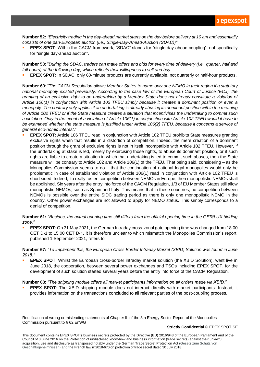**Number 52:** *"Electricity trading in the day-ahead market starts on the day before delivery at 10 am and essentially consists of one pan-European auction (i.e., Single-Day-Ahead-Auction (SDAC))"*

**EPEX SPOT:** Within the CACM framework, "SDAC" stands for "single day-ahead coupling", not specifically for "single day-ahead auction".

**Number 53**: "*During the SDAC, traders can make offers and bids for every time of delivery (i.e., quarter, half and full hours) of the following day, which reflects their willingness to sell and buy.*

**EPEX SPOT:** In SDAC, only 60-minute products are currently available, not quarterly or half-hour products.

**Number 60**: "*The CACM Regulation allows Member States to name only one NEMO in their region if a statutory national monopoly existed previously. According to the case law of the European Court of Justice (ECJ), the granting of an exclusive right to an undertaking by a Member State does not already constitute a violation of Article 106(1) in conjunction with Article 102 TFEU simply because it creates a dominant position or even a monopoly. The contrary only applies if an undertaking is already abusing its dominant position within the meaning of Article 102 TFEU or if the State measure creates a situation that incentivises the undertaking to commit such a violation. Only in the event of a violation of Article 106(1) in conjunction with Article 102 TFEU would it have to*  be examined whether the state measure is justified under Article 106(2) TFEU, because it concerns a service of *general eco-nomic interest*."

**EPEX SPOT:** Article 106 TFEU read in conjunction with Article 102 TFEU prohibits State measures granting exclusive rights when that results in a distortion of competition. Indeed, the mere creation of a dominant position through the grant of exclusive rights is not in itself incompatible with Article 102 TFEU. However, if the undertaking at stake is led, merely by exercising those rights, to abuse its dominant position, or if such rights are liable to create a situation in which that undertaking is led to commit such abuses, then the State measure will be contrary to Article 102 and Article 106(1) of the TFEU. That being said, considering – as the Monopolies Commission seems to do – that the continuation of national legal monopolies would only be problematic in case of established violation of Article 106(1) read in conjunction with Article 102 TFEU is short sided. Indeed, to really foster competition between NEMOs in Europe, then monopolistic NEMOs shall be abolished. Six years after the entry into force of the CACM Regulation, 1/3 of EU Member States still allow monopolistic NEMOs, such as Spain and Italy. This means that in these countries, no competition between NEMOs is possible over the entire SIDC trading period as there is only one monopolistic NEMO in the country. Other power exchanges are not allowed to apply for NEMO status. This simply corresponds to a denial of competition.

**Number 61:** *"Besides, the actual opening time still differs from the official opening time in the GER/LUX bidding zone."*

**EPEX SPOT**: On 31 May 2021, the German Intraday cross-zonal gate opening time was changed from 18:00 CET D-1 to 15:00 CET D-1. It is therefore unclear to which mismatch the Monopolies Commission's report, published 1 September 2021, refers to.

**Number 67:** *"To implement this, the European Cross Border Intraday Market (XBID) Solution was found in June 2018."*

**EPEX SPOT:** Whilst the European cross-border intraday market solution (the XBID Solution), went live in June 2018, the cooperation, between several power exchanges and TSOs including EPEX SPOT, for the development of such solution started several years before the entry into force of the CACM Regulation.

**Number 68:** *"The shipping module offers all market participants information on all orders made via XBID."*

**EPEX SPOT:** The XBID shipping module does not interact directly with market participants. Instead, it provides information on the transactions concluded to all relevant parties of the post-coupling process.

Rectification of wrong or misleading statements of Chapter III of the 8th Energy Sector Report of the Monopolies Commission pursuant to § 62 EnWG

## **Strictly Confidential** © EPEX SPOT SE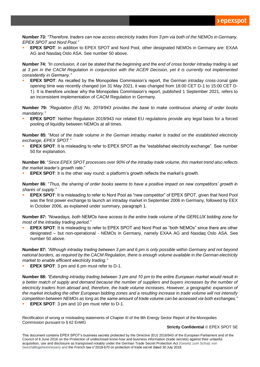**Number 73:** *"Therefore, traders can now access electricity trades from 3 pm via both of the NEMOs in Germany, EPEX SPOT and Nord Pool."*

EPEX SPOT: In addition to EPEX SPOT and Nord Pool, other designated NEMOs in Germany are: EXAA AG and Nasdaq Oslo ASA. See number 50 above.

**Number 74:** *"In conclusion, it can be stated that the beginning and the end of cross border intraday trading is set at 3 pm in the CACM Regulation in conjunction with the ACER Decision, yet it is currently not implemented consistently in Germany."*

**EPEX SPOT:** As recalled by the Monopolies Commission's report, the German intraday cross-zonal gate opening time was recently changed (on 31 May 2021, it was changed from 18:00 CET D-1 to 15:00 CET D-1). It is therefore unclear why the Monopolies Commission's report, published 1 September 2021, refers to an inconsistent implementation of CACM Regulation in Germany.

**Number 79:** *"Regulation (EU) No. 2019/943 provides the base to make continuous sharing of order books mandatory."*

**EPEX SPOT**: Neither Regulation 2019/943 nor related EU regulations provide any legal basis for a forced pooling of liquidity between NEMOs at all times.

**Number 85**: "*Most of the trade volume in the German intraday market is traded on the established electricity exchange, EPEX SPOT."*

**EPEX SPOT:** It is misleading to refer to EPEX SPOT as the "established electricity exchange". See number 50 for explanation.

**Number 86**: "*Since EPEX SPOT processes over 90% of the intraday trade volume, this market trend also reflects the market leader's growth rate*."

**EPEX SPOT:** It is the other way round: a platform's growth reflects the market's growth.

**Number 86**: "*Thus, the sharing of order books seems to have a positive impact on new competitors' growth in shares of supply*."

**EPEX SPOT:** It is misleading to refer to Nord Pool as "new competitor" of EPEX SPOT, given that Nord Pool was the first power exchange to launch an intraday market in September 2006 in Germany, followed by EEX in October 2006, as explained under summary, paragraph 1.

**Number 87:** *"Nowadays, both NEMOs have access to the entire trade volume of the GER/LUX bidding zone for most of the intraday trading period."*

**EPEX SPOT:** It is misleading to refer to EPEX SPOT and Nord Pool as "both NEMOs" since there are other designated – but non-operational - NEMOs in Germany, namely EXAA AG and Nasdaq Oslo ASA. See number 50 above.

**Number 87:** *"Although intraday trading between 3 pm and 6 pm is only possible within Germany and not beyond national borders, as required by the CACM Regulation, there is enough volume available in the German electricity market to enable efficient electricity trading."*

**EPEX SPOT:** 3 pm and 6 pm must refer to D-1.

**Number 88:** *"Extending intraday trading between 3 pm and 10 pm to the entire European market would result in a better match of supply and demand because the number of suppliers and buyers increases by the number of*  electricity traders from abroad and, therefore, the trade volume increases. However, a geographic expansion of *the market including the other European bidding zones and a resulting increase in trade volume will not intensify competition between NEMOs as long as the same amount of trade volume can be accessed via both exchanges."*

**EPEX SPOT:** 3 pm and 10 pm must refer to D-1.

Rectification of wrong or misleading statements of Chapter III of the 8th Energy Sector Report of the Monopolies Commission pursuant to § 62 EnWG

## **Strictly Confidential** © EPEX SPOT SE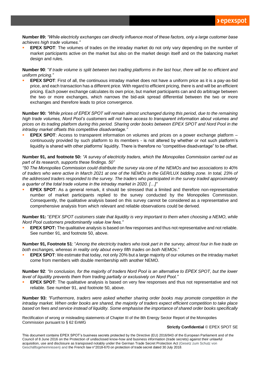**Number 89:** *"While electricity exchanges can directly influence most of these factors, only a large customer base achieves high trade volumes."*

**EPEX SPOT:** The volumes of trades on the intraday market do not only vary depending on the number of market participants active on the market but also on the market design itself and on the balancing market design and rules.

**Number 90**: "*If trade volume is split between two trading platforms in the last hour, there will be no efficient and uniform pricing."* 

**EPEX SPOT:** First of all, the continuous intraday market does not have a uniform price as it is a pay-as-bid price, and each transaction has a different price. With regard to efficient pricing, there is and will be an efficient pricing. Each power exchange calculates its own price, but market participants can and do arbitrage between the two or more exchanges, which narrows the bid-ask spread differential between the two or more exchanges and therefore leads to price convergence.

**Number 90:** *"While prices of EPEX SPOT will remain almost unchanged during this period, due to the remaining high trade volumes, Nord Pool's customers will not have access to transparent information about volumes and prices on its trading platform during this period. Sharing order books between EPEX SPOT and Nord Pool in the intraday market offsets this competitive disadvantage."*

**EPEX SPOT**: Access to transparent information on volumes and prices on a power exchange platform – continuously provided by such platform to its members - is not altered by whether or not such platform's liquidity is shared with other platforms' liquidity. There is therefore no "competitive disadvantage" to be offset.

**Number 91, and footnote 50:** *"A survey of electricity traders, which the Monopolies Commission carried out as part of its research, supports these findings. 50"*

*"50 The Monopolies Commission could distribute the survey via one of the NEMOs and two associations to 40% of traders who were active in March 2021 at one of the NEMOs in the GER/LUX bidding zone. In total, 23% of the addressed traders responded to the survey. The traders who participated in the survey traded approximately a quarter of the total trade volume in the intraday market in 2020. […]"* 

**EPEX SPOT:** As a general remark, it should be stressed that a limited and therefore non-representative number of market participants replied to the survey conducted by the Monopolies Commission. Consequently, the qualitative analysis based on this survey cannot be considered as a representative and comprehensive analysis from which relevant and reliable observations could be derived.

**Number 91:** "*EPEX SPOT customers state that liquidity is very important to them when choosing a NEMO, while Nord Pool customers predominantly value low fees."*

**EPEX SPOT:** The qualitative analysis is based on few responses and thus not representative and not reliable. See number 91, and footnote 50, above.

**Number 91, Footnote 51**: "*Among the electricity traders who took part in the survey, almost four in five trade on both exchanges, whereas in reality only about every fifth trades on both NEMOs*."

**EPEX SPOT**: We estimate that today, not only 20% but a large majority of our volumes on the intraday market come from members with double membership with another NEMO.

**Number 92**: *"In conclusion, for the majority of traders Nord Pool is an alternative to EPEX SPOT, but the lower level of liquidity prevents them from trading partially or exclusively on Nord Pool."*

**EPEX SPOT:** The qualitative analysis is based on very few responses and thus not representative and not reliable. See number 91, and footnote 50, above.

**Number 93:** *"Furthermore, traders were asked whether sharing order books may promote competition in the intraday market. When order books are shared, the majority of traders expect efficient competition to take place based on fees and service instead of liquidity. Some emphasise the importance of shared order books specifically* 

Rectification of wrong or misleading statements of Chapter III of the 8th Energy Sector Report of the Monopolies Commission pursuant to § 62 EnWG

## **Strictly Confidential** © EPEX SPOT SE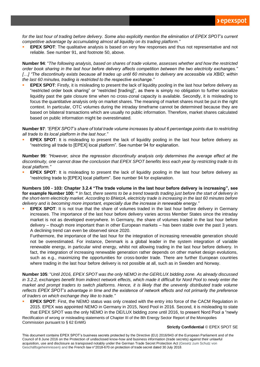for the last hour of trading before delivery. Some also explicitly mention the elimination of EPEX SPOT's current *competitive advantage by accumulating almost all liquidity on its trading platform."*

**EPEX SPOT:** The qualitative analysis is based on very few responses and thus not representative and not reliable. See number 91, and footnote 50, above.

**Number 94**: "*The following analysis, based on shares of trade volume, assesses whether and how the restricted order book sharing in the last hour before delivery affects competition between the two electricity exchanges." […] "The discontinuity exists because all trades up until 60 minutes to delivery are accessible via XBID; within the last 60 minutes, trading is restricted to the respective exchange."*

**EPEX SPOT**: Firstly, it is misleading to present the lack of liquidity pooling in the last hour before delivery as "restricted order book sharing" or "restricted [trading]", as there is simply no obligation to further socialize liquidity past the gate closure time when no cross-zonal capacity is available. Secondly, it is misleading to focus the quantitative analysis only on market shares. The meaning of market shares must be put in the right context. In particular, OTC volumes during the intraday timeframe cannot be determined because they are based on bilateral transactions which are usually no public information. Therefore, market shares calculated based on public information might be overestimated.

**Number 97**: *"EPEX SPOT's share of total trade volume increases by about 6 percentage points due to restricting all trade to its local platform in the last hour."*

**EPEX SPOT**: It is misleading to present the lack of liquidity pooling in the last hour before delivery as "restricting all trade to [EPEX] local platform". See number 94 for explanation.

**Number 99***: "However, since the regression discontinuity analysis only determines the average effect at the discontinuity, one cannot draw the conclusion that EPEX SPOT benefits less each year by restricting trade to its local platform."*

**EPEX SPOT**: It is misleading to present the lack of liquidity pooling in the last hour before delivery as "restricting trade to [EPEX] local platform". See number 94 for explanation.

**Numbers 100 - 103: Chapter 3.2.4 "The trade volume in the last hour before delivery is increasing", see for example Number 100: "** *In fact, there seems to be a trend towards trading just before the start of delivery in the short-term electricity market. According to BNetzA, electricity trade is increasing in the last 60 minutes before delivery and is becoming more important, especially due the increase in renewable energy."*

**EPEX SPOT:** It is not true that the share of volumes traded in the last hour before delivery in Germany increases. The importance of the last hour before delivery varies across Member States since the intraday market is not as developed everywhere. In Germany, the share of volumes traded in the last hour before delivery – though more important than in other European markets – has been stable over the past 3 years. A declining trend can even be observed since 2020.

Furthermore, the importance of the last hour for the integration of increasing renewable generation should not be overestimated. For instance, Denmark is a global leader in the system integration of variable renewable energy, in particular wind energy, whilst not allowing trading in the last hour before delivery. In fact, the integration of increasing renewable generation rather depends on other market design evolutions, such as e.g., maximizing the opportunities for cross-border trade. There are further European countries where trading in the last hour before delivery is not possible at all, such as in Sweden and Norway.

**Number 105**: "*Until 2016, EPEX SPOT was the only NEMO in the GER/LUX bidding zone. As already discussed*  in 3.2.2, exchanges benefit from indirect network effects, which made it difficult for Nord Pool to newly enter the *market and prompt traders to switch platforms. Hence, it is likely that the unevenly distributed trade volume reflects EPEX SPOT's advantage in time and the existence of network effects and not primarily the preference of traders on which exchange they like to trade."*

Rectification of wrong or misleading statements of Chapter III of the 8th Energy Sector Report of the Monopolies **EPEX SPOT**: First, the NEMO status was only created with the entry into force of the CACM Regulation in 2015. EPEX was appointed NEMO in Germany in 2015, Nord Pool in 2016. Second, it is misleading to state that EPEX SPOT was the only NEMO in the DE/LUX bidding zone until 2016, to present Nord Pool a "newly

Commission pursuant to § 62 EnWG

## **Strictly Confidential** © EPEX SPOT SE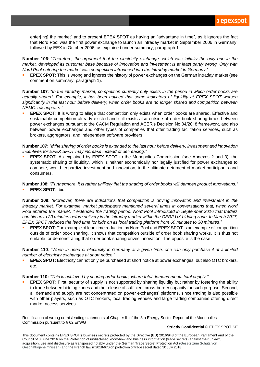enter[ing] the market" and to present EPEX SPOT as having an "advantage in time", as it ignores the fact that Nord Pool was the first power exchange to launch an intraday market in September 2006 in Germany, followed by EEX in October 2006, as explained under summary, paragraph 1.

**Number 106**: "*Therefore, the argument that the electricity exchange, which was initially the only one in the market, developed its customer base because of innovation and investment is at least partly wrong. Only with Nord Pool entering the market was competition introduced into the intraday market in Germany."*

**EPEX SPOT:** This is wrong and ignores the history of power exchanges on the German intraday market (see comment on summary, paragraph 1).

**Number 107**: "*In the intraday market, competition currently only exists in the period in which order books are actually shared. For example, it has been noticed that some indicators of liquidity at EPEX SPOT worsen significantly in the last hour before delivery, when order books are no longer shared and competition between NEMOs disappears."*

**EPEX SPOT:** It is wrong to allege that competition only exists when order books are shared. Effective and sustainable competition already existed and still exists also outside of order book sharing times between power exchanges pursuant to the CACM Regulation and ACER's Decision No 04/2018 framework, and also between power exchanges and other types of companies that offer trading facilitation services, such as brokers, aggregators, and independent software providers.

**Number 107:** *"If the sharing of order books is extended to the last hour before delivery, investment and innovation incentives for EPEX SPOT may increase instead of decreasing."*

**EPEX SPOT:** As explained by EPEX SPOT to the Monopolies Commission (see Annexes 2 and 3), the systematic sharing of liquidity, which is neither economically nor legally justified for power exchanges to compete, would jeopardize investment and innovation, to the ultimate detriment of market participants and consumers.

**Number 108:** *"Furthermore, it is rather unlikely that the sharing of order books will dampen product innovations."* **EPEX SPOT: Ibid.** 

**Number 109**: "*Moreover, there are indications that competition is driving innovation and investment in the intraday market. For example, market participants mentioned several times in conversations that, when Nord Pool entered the market, it extended the trading period. Nord Pool introduced in September 2016 that traders*  can bid up to 20 minutes before delivery in the intraday market within the GER/LUX bidding zone. In March 2017, *EPEX SPOT reduced the lead time for bids on its local trading platform from 60 minutes to 30 minutes*."

**EPEX SPOT:** The example of lead time reduction by Nord Pool and EPEX SPOT is an example of competition outside of order book sharing. It shows that competition outside of order book sharing works. It is thus not suitable for demonstrating that order book sharing drives innovation. The opposite is the case.

**Number 110**: "*When in need of electricity in Germany at a given time, one can only purchase it at a limited number of electricity exchanges at short notice*."

**EPEX SPOT**: Electricity cannot only be purchased at short notice at power exchanges, but also OTC brokers, etc.

**Number 110:** *"This is achieved by sharing order books, where total demand meets total supply."*

**EPEX SPOT:** First, security of supply is not supported by sharing liquidity but rather by fostering the ability to trade between bidding zones and the release of sufficient cross-border capacity for such purpose. Second, all demand and supply are not concentrated on power exchanges' platforms, since trading is also possible with other players, such as OTC brokers, local trading venues and large trading companies offering direct market access services.

Rectification of wrong or misleading statements of Chapter III of the 8th Energy Sector Report of the Monopolies Commission pursuant to § 62 EnWG

## **Strictly Confidential** © EPEX SPOT SE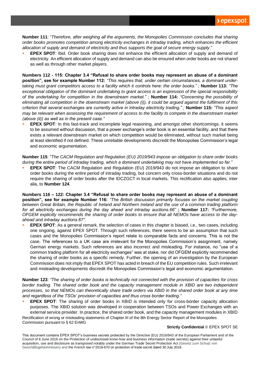**Number 111**: "*Therefore, after weighing all the arguments, the Monopolies Commission concludes that sharing order books promotes competition among electricity exchanges in intraday trading, which enhances the efficient allocation of supply and demand of electricity and thus supports the goal of secure energy supply*."

**EPEX SPOT:** Ibid. Order book sharing does not enhance the efficient allocation of supply and demand of electricity. An efficient allocation of supply and demand can also be ensured when order books are not shared as well as through other market players.

**Numbers 112 - 115: Chapter 3.4 "Refusal to share order books may represent an abuse of a dominant position", see for example Number 112:** *"This requires that, under certain circumstances, a dominant undertaking must grant competitors access to a facility which it controls here: the order books." ;* **Number 113:** *"The exceptional obligation of the dominant undertaking to grant access is an expression of the special responsibility of the undertaking for competition in the downstream market." ;* **Number 114:** *"Concerning the possibility of eliminating all competition in the downstream market (above (i)), it could be argued against the fulfilment of this criterion that several exchanges are currently active in intraday electricity trading." ;* **Number 115:** *"This aspect*  may be relevant when assessing the requirement of access to the facility to compete in the downstream market *(above (ii)) as well as in the present case."*

**EPEX SPOT**: In this fast-track and incomplete legal reasoning, and amongst other shortcomings, it seems to be assumed without discussion, that a power exchange's order book is an essential facility, and that there exists a relevant downstream market on which competition would be eliminated, without such market being at least identified if not defined. These unreliable developments discredit the Monopolies Commission's legal and economic argumentation.

**Number 115**: "*The CACM Regulation and Regulation (EU) 2019/943 impose an obligation to share order books during the entire period of intraday trading, which a dominant undertaking may not have implemented so far."*

**EPEX SPOT**: The CACM Regulation and Regulation (EU) 2019/943 do not impose an obligation to share order books during the entire period of intraday trading, but concern only cross-border situations and do not require the sharing of order books after the IDCZGCT in local markets. This rectification also applies, inter alia, to **Number 124**.

**Numbers 116 – 122: Chapter 3.4 "Refusal to share order books may represent an abuse of a dominant position", see for example Number 116:** *"The British discussion primarily focuses on the market coupling between Great Britain, the Republic of Ireland and Northern Ireland and the use of a common trading platform for all electricity exchanges during the day ahead and intraday auctions.66"* **; Number 117:** *"Furthermore, OFGEM explicitly recommends the sharing of order books to ensure that all NEMOs have access to the dayahead and intraday auctions.67".*

**EPEX SPOT**: As a general remark, the selection of cases in this chapter is biased, i.e., two cases, including one ongoing, against EPEX SPOT. Through such references, there seems to be an assumption that such cases and the Monopolies Commission's report relate to comparable facts and concerns. This is not the case. The references to a UK case are irrelevant for the Monopolies Commission's assignment, namely German energy markets. Such references are also incorrect and misleading. For instance, no "use of a common trading platform for all electricity exchanges" was at stake, nor did OFGEM explicitly recommended the sharing of order books as a specific remedy. Further, the opening of an investigation by the European Commission does not imply that EPEX SPOT has acted in breach of the EU competition rules. Such irrelevant and misleading developments discredit the Monopolies Commission's legal and economic argumentation.

**Number 123**: *"The sharing of order books is technically not connected with the provision of capacities for cross border trading. The shared order book and the capacity management module in XBID are two independent processes, so that NEMOs can theoretically share trade orders via XBID in the shared order book at any time and regardless of the TSOs' provision of capacities and thus cross border trading."*

Rectification of wrong or misleading statements of Chapter III of the 8th Energy Sector Report of the Monopolies **EPEX SPOT:** The sharing of order books in XBID is intended only for cross-border capacity allocation purposes. The XBID solution was developed in cooperation between TSOs and Power Exchanges with an external service provider. In practice, the shared order book, and the capacity management modules in XBID

Commission pursuant to § 62 EnWG

## **Strictly Confidential** © EPEX SPOT SE